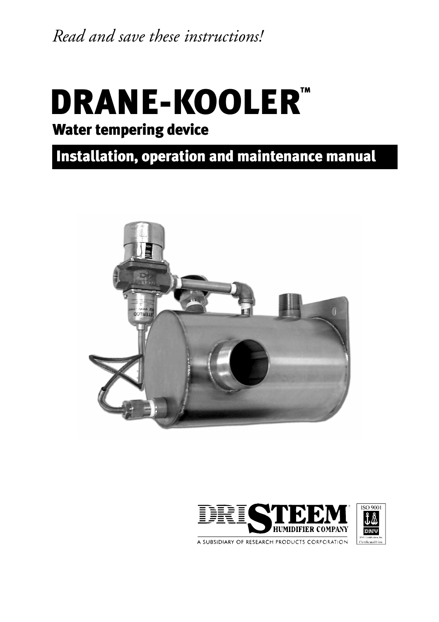*Read and save these instructions!*

## DRANE-KOOLER<sup>™</sup> Water tempering device

### Installation, operation and maintenance manual



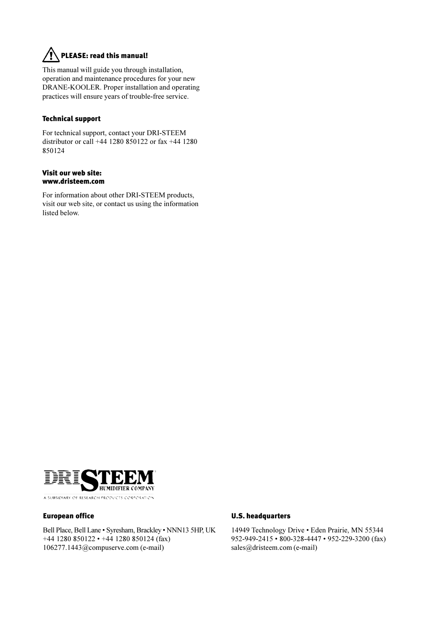### PLEASE: read this manual!

This manual will guide you through installation, operation and maintenance procedures for your new DRANE-KOOLER. Proper installation and operating practices will ensure years of trouble-free service.

#### Technical support

For technical support, contact your DRI-STEEM distributor or call +44 1280 850122 or fax +44 1280 850124

#### Visit our web site: www.dristeem.com

For information about other DRI-STEEM products, visit our web site, or contact us using the information listed below.



#### European office

Bell Place, Bell Lane • Syresham, Brackley • NNN13 5HP, UK  $+44$  1280 850122 •  $+44$  1280 850124 (fax) 106277.1443@compuserve.com (e-mail)

#### U.S. headquarters

14949 Technology Drive · Eden Prairie, MN 55344 952-949-2415 • 800-328-4447 • 952-229-3200 (fax) sales@dristeem.com (e-mail)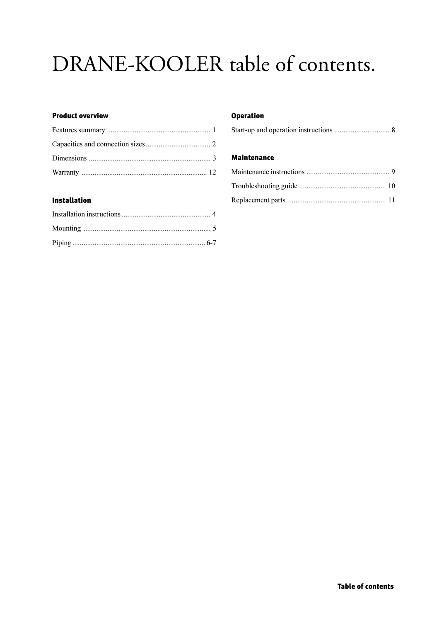### DRANE-KOOLER table of contents.

#### **Product overview**

### **Installation**

#### **Operation**

|--|--|

#### **Maintenance**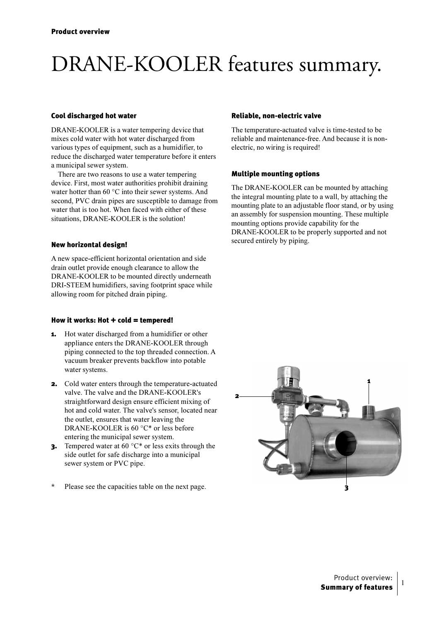## DRANE-KOOLER features summary.

#### Cool discharged hot water

DRANE-KOOLER is a water tempering device that mixes cold water with hot water discharged from various types of equipment, such as a humidifier, to reduce the discharged water temperature before it enters a municipal sewer system.

There are two reasons to use a water tempering device. First, most water authorities prohibit draining water hotter than 60  $\mathrm{^{\circ}C}$  into their sewer systems. And second, PVC drain pipes are susceptible to damage from water that is too hot. When faced with either of these situations, DRANE-KOOLER is the solution!

#### New horizontal design!

A new space-efficient horizontal orientation and side drain outlet provide enough clearance to allow the DRANE-KOOLER to be mounted directly underneath DRI-STEEM humidifiers, saving footprint space while allowing room for pitched drain piping.

#### How it works: Hot  $+$  cold  $=$  tempered!

- 1. Hot water discharged from a humidifier or other appliance enters the DRANE-KOOLER through piping connected to the top threaded connection. A vacuum breaker prevents backflow into potable water systems.
- 2. Cold water enters through the temperature-actuated valve. The valve and the DRANE-KOOLER's straightforward design ensure efficient mixing of hot and cold water. The valve's sensor, located near the outlet, ensures that water leaving the DRANE-KOOLER is  $60 °C*$  or less before entering the municipal sewer system.
- **3.** Tempered water at 60  $^{\circ}C^*$  or less exits through the side outlet for safe discharge into a municipal sewer system or PVC pipe.
- \* Please see the capacities table on the next page.

#### Reliable, non-electric valve

The temperature-actuated valve is time-tested to be reliable and maintenance-free. And because it is nonelectric, no wiring is required!

#### Multiple mounting options

The DRANE-KOOLER can be mounted by attaching the integral mounting plate to a wall, by attaching the mounting plate to an adjustable floor stand, or by using an assembly for suspension mounting. These multiple mounting options provide capability for the DRANE-KOOLER to be properly supported and not secured entirely by piping.



 $\mathbf{1}$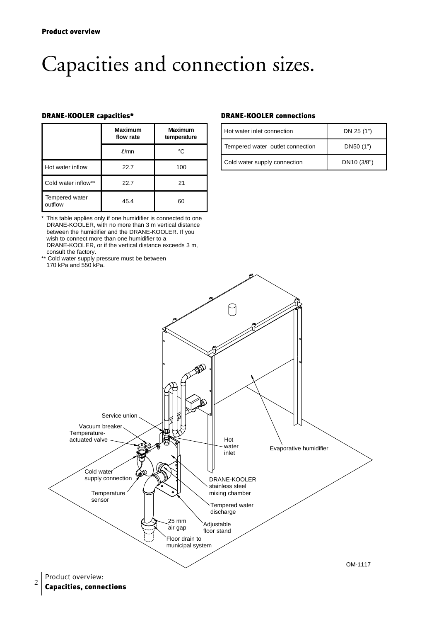## Capacities and connection sizes.

|                           | <b>Maximum</b><br>flow rate | <b>Maximum</b><br>temperature |
|---------------------------|-----------------------------|-------------------------------|
|                           | $\ell$ /mn                  | °C                            |
| Hot water inflow          | 22.7                        | 100                           |
| Cold water inflow**       | 22.7                        | 21                            |
| Tempered water<br>outflow | 45.4                        | 60                            |

\* This table applies only if one humidifier is connected to one DRANE-KOOLER, with no more than 3 m vertical distance between the humidifier and the DRANE-KOOLER. If you wish to connect more than one humidifier to a DRANE-KOOLER, or if the vertical distance exceeds 3 m, consult the factory.

\*\* Cold water supply pressure must be between 170 kPa and 550 kPa.

#### DRANE-KOOLER capacities\* DRANE-KOOLER connections

| Hot water inlet connection       | DN 25 (1")              |  |
|----------------------------------|-------------------------|--|
| Tempered water outlet connection | DN50 (1")               |  |
| Cold water supply connection     | DN <sub>10</sub> (3/8") |  |



Capacities, connections <sup>2</sup>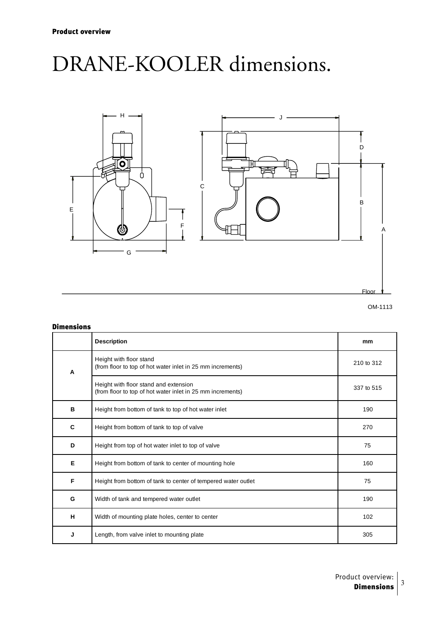### DRANE-KOOLER dimensions.





#### Dimensions

|   | <b>Description</b>                                                                                  | mm         |
|---|-----------------------------------------------------------------------------------------------------|------------|
| A | Height with floor stand<br>(from floor to top of hot water inlet in 25 mm increments)               | 210 to 312 |
|   | Height with floor stand and extension<br>(from floor to top of hot water inlet in 25 mm increments) | 337 to 515 |
| в | Height from bottom of tank to top of hot water inlet                                                | 190        |
| C | Height from bottom of tank to top of valve                                                          | 270        |
| D | Height from top of hot water inlet to top of valve                                                  | 75         |
| Е | Height from bottom of tank to center of mounting hole                                               | 160        |
| F | Height from bottom of tank to center of tempered water outlet                                       | 75         |
| G | Width of tank and tempered water outlet                                                             | 190        |
| H | Width of mounting plate holes, center to center                                                     | 102        |
| J | Length, from valve inlet to mounting plate                                                          | 305        |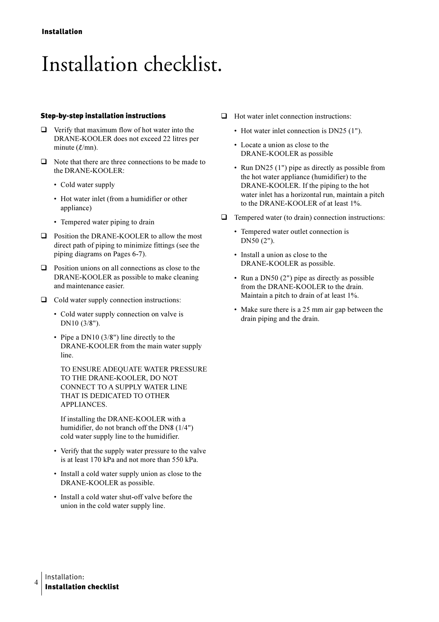### Installation checklist.

#### **Step-by-step installation instructions**

- $\Box$  Verify that maximum flow of hot water into the DRANE-KOOLER does not exceed 22 litres per minute  $(\ell/mn)$ .
- $\Box$  Note that there are three connections to be made to the DRANE-KOOLER:
	- Cold water supply
	- Hot water inlet (from a humidifier or other appliance)
	- Tempered water piping to drain
- $\Box$  Position the DRANE-KOOLER to allow the most direct path of piping to minimize fittings (see the piping diagrams on Pages 6-7).
- $\Box$  Position unions on all connections as close to the DRANE-KOOLER as possible to make cleaning and maintenance easier.
- $\Box$  Cold water supply connection instructions:
	- Cold water supply connection on valve is DN10 (3/8").
	- Pipe a DN10  $(3/8)$  line directly to the DRANE-KOOLER from the main water supply line.

TO ENSURE ADEOUATE WATER PRESSURE TO THE DRANE-KOOLER, DO NOT CONNECT TO A SUPPLY WATER LINE THAT IS DEDICATED TO OTHER APPLIANCES.

If installing the DRANE-KOOLER with a humidifier, do not branch off the DN8 (1/4") cold water supply line to the humidifier.

- Verify that the supply water pressure to the valve is at least 170 kPa and not more than 550 kPa.
- Install a cold water supply union as close to the DRANE-KOOLER as possible.
- Install a cold water shut-off valve before the union in the cold water supply line.
- $\Box$  Hot water inlet connection instructions:
	- Hot water inlet connection is DN25 (1").
	- Locate a union as close to the DRANE-KOOLER as possible
	- Run DN25  $(1")$  pipe as directly as possible from the hot water appliance (humidifier) to the DRANE-KOOLER. If the piping to the hot water inlet has a horizontal run, maintain a pitch to the DRANE-KOOLER of at least 1%.
- $\Box$  Tempered water (to drain) connection instructions:
	- Tempered water outlet connection is DN50 (2").
	- Install a union as close to the DRANE-KOOLER as possible.
	- Run a DN50  $(2")$  pipe as directly as possible from the DRANE-KOOLER to the drain. Maintain a pitch to drain of at least 1%.
	- Make sure there is a 25 mm air gap between the drain piping and the drain.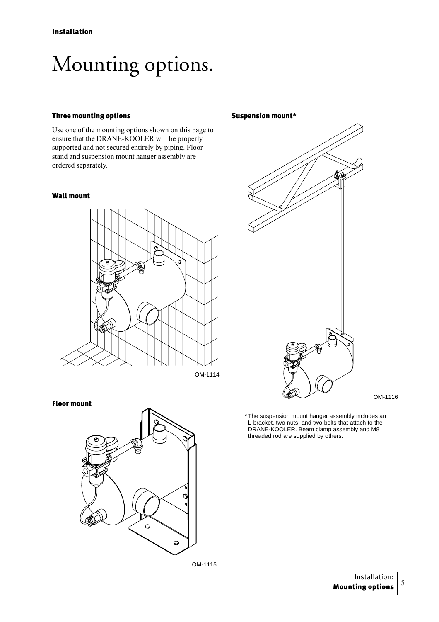## Mounting options.

#### Three mounting options

Use one of the mounting options shown on this page to ensure that the DRANE-KOOLER will be properly supported and not secured entirely by piping. Floor stand and suspension mount hanger assembly are ordered separately.

#### Wall mount



#### Floor mount



Suspension mount\*



OM-1116

\* The suspension mount hanger assembly includes an L-bracket, two nuts, and two bolts that attach to the DRANE-KOOLER. Beam clamp assembly and M8 threaded rod are supplied by others.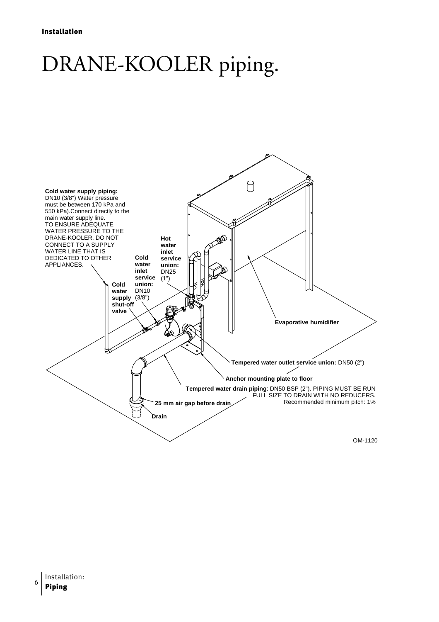## DRANE-KOOLER piping.

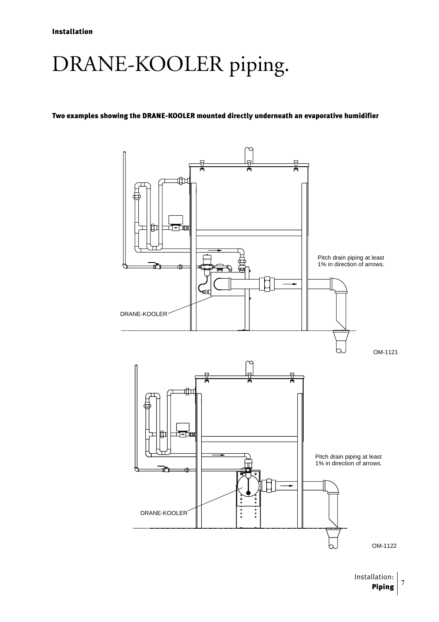## DRANE-KOOLER piping.

#### Two examples showing the DRANE-KOOLER mounted directly underneath an evaporative humidifier



Installation: Piping 3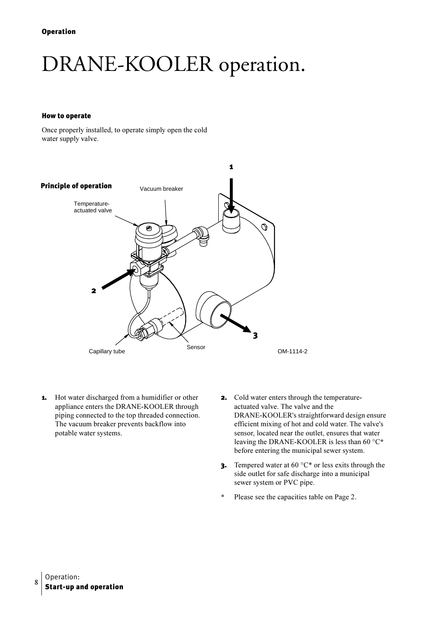## DRANE-KOOLER operation.

#### **How to operate**

Once properly installed, to operate simply open the cold water supply valve.



- Hot water discharged from a humidifier or other 1. appliance enters the DRANE-KOOLER through piping connected to the top threaded connection. The vacuum breaker prevents backflow into potable water systems.
- **2.** Cold water enters through the temperatureactuated valve. The valve and the DRANE-KOOLER's straightforward design ensure efficient mixing of hot and cold water. The valve's sensor, located near the outlet, ensures that water leaving the DRANE-KOOLER is less than 60  $\degree$ C\* before entering the municipal sewer system.
- **3.** Tempered water at 60  $^{\circ}C^*$  or less exits through the side outlet for safe discharge into a municipal sewer system or PVC pipe.
- $\star$ Please see the capacities table on Page 2.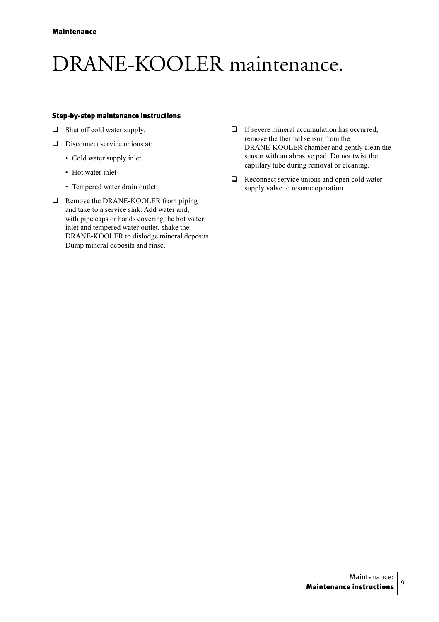### DRANE-KOOLER maintenance.

#### Step-by-step maintenance instructions

- Shut off cold water supply.
- $\Box$  Disconnect service unions at:
	- Cold water supply inlet
	- Hot water inlet
	- Tempered water drain outlet
- Remove the DRANE-KOOLER from piping and take to a service sink. Add water and, with pipe caps or hands covering the hot water inlet and tempered water outlet, shake the DRANE-KOOLER to dislodge mineral deposits. Dump mineral deposits and rinse.
- $\Box$  If severe mineral accumulation has occurred, remove the thermal sensor from the DRANE-KOOLER chamber and gently clean the sensor with an abrasive pad. Do not twist the capillary tube during removal or cleaning.
- $\Box$  Reconnect service unions and open cold water supply valve to resume operation.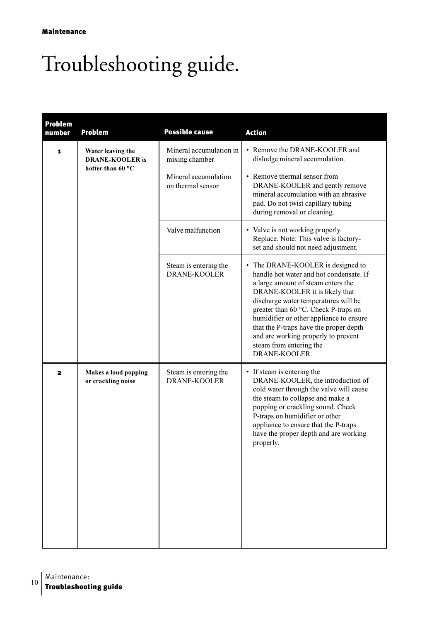# Troubleshooting guide.

| <b>Problem</b><br>number | <b>Problem</b>                                                                       | <b>Possible cause</b>                        | <b>Action</b>                                                                                                                                                                                                                                                                                                                                                                                                |
|--------------------------|--------------------------------------------------------------------------------------|----------------------------------------------|--------------------------------------------------------------------------------------------------------------------------------------------------------------------------------------------------------------------------------------------------------------------------------------------------------------------------------------------------------------------------------------------------------------|
| 1                        | Water leaving the<br><b>DRANE-KOOLER</b> is<br>hotter than 60 $\,^{\circ}\mathrm{C}$ | Mineral accumulation in<br>mixing chamber    | • Remove the DRANE-KOOLER and<br>dislodge mineral accumulation.                                                                                                                                                                                                                                                                                                                                              |
|                          |                                                                                      | Mineral accumulation<br>on thermal sensor    | • Remove thermal sensor from<br>DRANE-KOOLER and gently remove<br>mineral accumulation with an abrasive<br>pad. Do not twist capillary tubing<br>during removal or cleaning.                                                                                                                                                                                                                                 |
|                          |                                                                                      | Valve malfunction                            | • Valve is not working properly.<br>Replace. Note: This valve is factory-<br>set and should not need adjustment.                                                                                                                                                                                                                                                                                             |
|                          |                                                                                      | Steam is entering the<br><b>DRANE-KOOLER</b> | • The DRANE-KOOLER is designed to<br>handle hot water and hot condensate. If<br>a large amount of steam enters the<br>DRANE-KOOLER it is likely that<br>discharge water temperatures will be<br>greater than 60 °C. Check P-traps on<br>humidifier or other appliance to ensure<br>that the P-traps have the proper depth<br>and are working properly to prevent<br>steam from entering the<br>DRANE-KOOLER. |
| $\mathbf{z}$             | Makes a loud popping<br>or crackling noise                                           | Steam is entering the<br><b>DRANE-KOOLER</b> | • If steam is entering the<br>DRANE-KOOLER, the introduction of<br>cold water through the valve will cause<br>the steam to collapse and make a<br>popping or crackling sound. Check<br>P-traps on humidifier or other<br>appliance to ensure that the P-traps<br>have the proper depth and are working<br>properly.                                                                                          |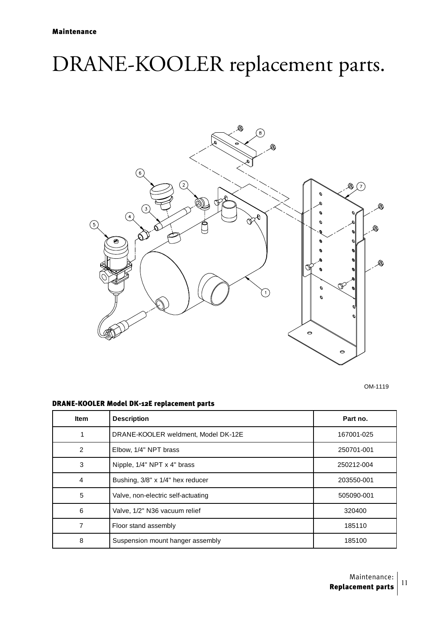## DRANE-KOOLER replacement parts.



OM-1119

#### DRANE-KOOLER Model DK-12E replacement parts

| <b>Item</b>    | <b>Description</b>                  | Part no.   |
|----------------|-------------------------------------|------------|
| 1              | DRANE-KOOLER weldment, Model DK-12E | 167001-025 |
| $\overline{2}$ | Elbow, 1/4" NPT brass               | 250701-001 |
| 3              | Nipple, 1/4" NPT x 4" brass         | 250212-004 |
| $\overline{4}$ | Bushing, 3/8" x 1/4" hex reducer    | 203550-001 |
| 5              | Valve, non-electric self-actuating  | 505090-001 |
| 6              | Valve, 1/2" N36 vacuum relief       | 320400     |
| 7              | Floor stand assembly                | 185110     |
| 8              | Suspension mount hanger assembly    | 185100     |